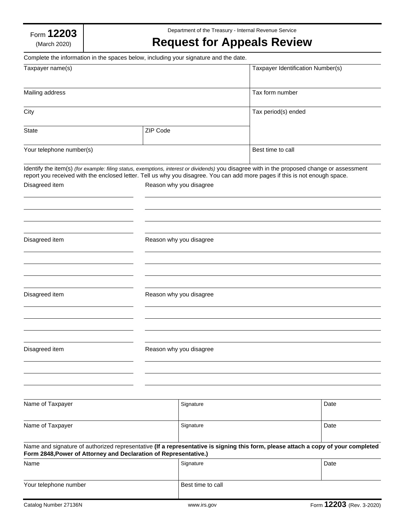Form **12203** (March 2020)

Complete the information in the spaces below, including your signature and the date.

Department of the Treasury - Internal Revenue Service

## **Request for Appeals Review**

| Taxpayer name(s)<br>Mailing address                                                                                                                                                                                                                                        |          |                         | Taxpayer Identification Number(s)<br>Tax form number |                          |      |
|----------------------------------------------------------------------------------------------------------------------------------------------------------------------------------------------------------------------------------------------------------------------------|----------|-------------------------|------------------------------------------------------|--------------------------|------|
|                                                                                                                                                                                                                                                                            |          |                         |                                                      |                          | City |
| <b>State</b>                                                                                                                                                                                                                                                               | ZIP Code |                         |                                                      |                          |      |
| Your telephone number(s)                                                                                                                                                                                                                                                   |          |                         | Best time to call                                    |                          |      |
| Identify the item(s) (for example: filing status, exemptions, interest or dividends) you disagree with in the proposed change or assessment<br>report you received with the enclosed letter. Tell us why you disagree. You can add more pages if this is not enough space. |          |                         |                                                      |                          |      |
| Disagreed item                                                                                                                                                                                                                                                             |          | Reason why you disagree |                                                      |                          |      |
|                                                                                                                                                                                                                                                                            |          |                         |                                                      |                          |      |
| Disagreed item                                                                                                                                                                                                                                                             |          | Reason why you disagree |                                                      |                          |      |
|                                                                                                                                                                                                                                                                            |          |                         |                                                      |                          |      |
| Disagreed item                                                                                                                                                                                                                                                             |          | Reason why you disagree |                                                      |                          |      |
|                                                                                                                                                                                                                                                                            |          |                         |                                                      |                          |      |
| Disagreed item                                                                                                                                                                                                                                                             |          | Reason why you disagree |                                                      |                          |      |
|                                                                                                                                                                                                                                                                            |          |                         |                                                      |                          |      |
| Name of Taxpayer                                                                                                                                                                                                                                                           |          | Signature               |                                                      | Date                     |      |
| Name of Taxpayer                                                                                                                                                                                                                                                           |          | Signature               |                                                      | Date                     |      |
| Name and signature of authorized representative (If a representative is signing this form, please attach a copy of your completed<br>Form 2848, Power of Attorney and Declaration of Representative.)                                                                      |          |                         |                                                      |                          |      |
| Name                                                                                                                                                                                                                                                                       |          | Signature               |                                                      | Date                     |      |
| Your telephone number                                                                                                                                                                                                                                                      |          | Best time to call       |                                                      |                          |      |
| Catalog Number 27136N                                                                                                                                                                                                                                                      |          | www.irs.gov             |                                                      | Form 12203 (Rev. 3-2020) |      |